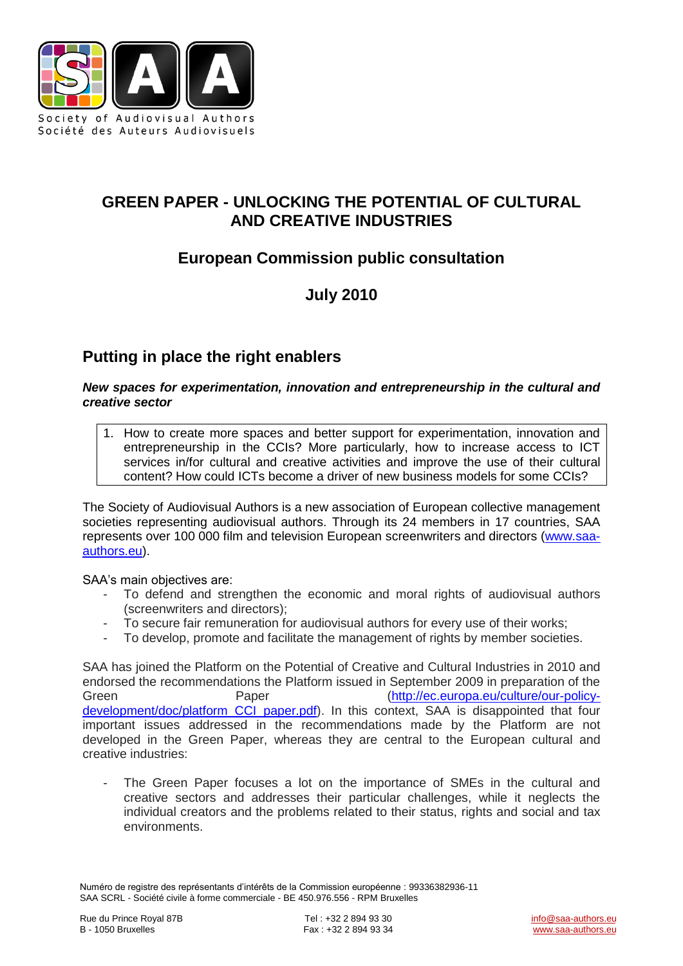

## **GREEN PAPER - UNLOCKING THE POTENTIAL OF CULTURAL AND CREATIVE INDUSTRIES**

# **European Commission public consultation**

# **July 2010**

# **Putting in place the right enablers**

#### *New spaces for experimentation, innovation and entrepreneurship in the cultural and creative sector*

1. How to create more spaces and better support for experimentation, innovation and entrepreneurship in the CCIs? More particularly, how to increase access to ICT services in/for cultural and creative activities and improve the use of their cultural content? How could ICTs become a driver of new business models for some CCIs?

The Society of Audiovisual Authors is a new association of European collective management societies representing audiovisual authors. Through its 24 members in 17 countries, SAA represents over 100 000 film and television European screenwriters and directors [\(www.saa](http://www.saa-authors.eu/)[authors.eu\)](http://www.saa-authors.eu/).

SAA's main objectives are:

- To defend and strengthen the economic and moral rights of audiovisual authors (screenwriters and directors);
- To secure fair remuneration for audiovisual authors for every use of their works;
- To develop, promote and facilitate the management of rights by member societies.

SAA has joined the Platform on the Potential of Creative and Cultural Industries in 2010 and endorsed the recommendations the Platform issued in September 2009 in preparation of the Green Paper Paper [\(http://ec.europa.eu/culture/our-policy](http://ec.europa.eu/culture/our-policy-development/doc/platform_CCI_paper.pdf)development/doc/platform CCI paper.pdf). In this context, SAA is disappointed that four important issues addressed in the recommendations made by the Platform are not developed in the Green Paper, whereas they are central to the European cultural and creative industries:

The Green Paper focuses a lot on the importance of SMEs in the cultural and creative sectors and addresses their particular challenges, while it neglects the individual creators and the problems related to their status, rights and social and tax environments.

Numéro de registre des représentants d'intérêts de la Commission européenne : 99336382936-11 SAA SCRL - Société civile à forme commerciale - BE 450.976.556 - RPM Bruxelles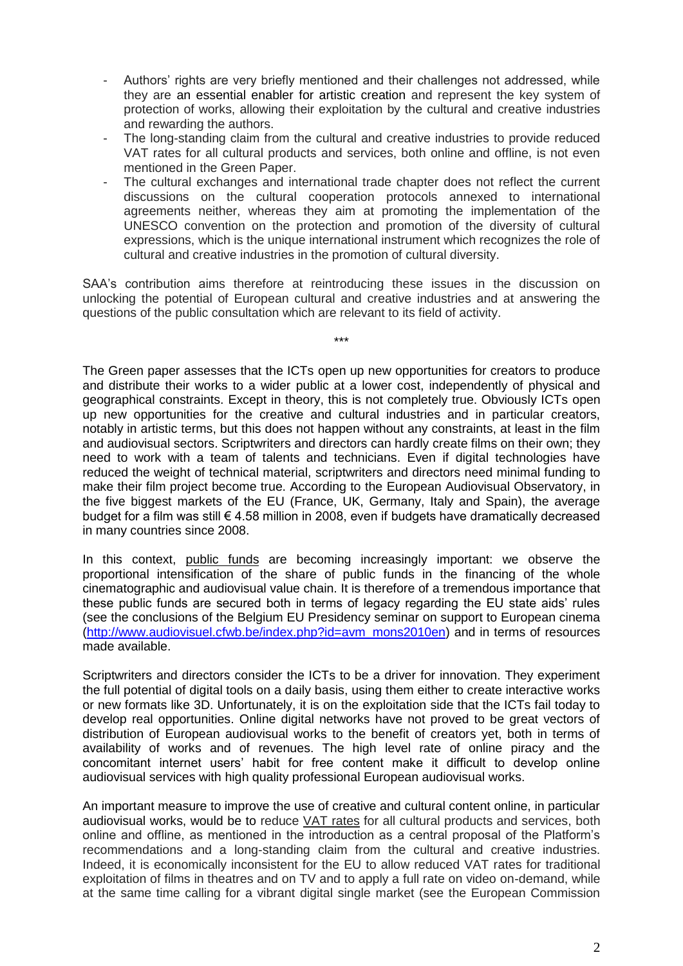- Authors' rights are very briefly mentioned and their challenges not addressed, while they are an essential enabler for artistic creation and represent the key system of protection of works, allowing their exploitation by the cultural and creative industries and rewarding the authors.
- The long-standing claim from the cultural and creative industries to provide reduced VAT rates for all cultural products and services, both online and offline, is not even mentioned in the Green Paper.
- The cultural exchanges and international trade chapter does not reflect the current discussions on the cultural cooperation protocols annexed to international agreements neither, whereas they aim at promoting the implementation of the UNESCO convention on the protection and promotion of the diversity of cultural expressions, which is the unique international instrument which recognizes the role of cultural and creative industries in the promotion of cultural diversity.

SAA's contribution aims therefore at reintroducing these issues in the discussion on unlocking the potential of European cultural and creative industries and at answering the questions of the public consultation which are relevant to its field of activity.

\*\*\*

The Green paper assesses that the ICTs open up new opportunities for creators to produce and distribute their works to a wider public at a lower cost, independently of physical and geographical constraints. Except in theory, this is not completely true. Obviously ICTs open up new opportunities for the creative and cultural industries and in particular creators, notably in artistic terms, but this does not happen without any constraints, at least in the film and audiovisual sectors. Scriptwriters and directors can hardly create films on their own; they need to work with a team of talents and technicians. Even if digital technologies have reduced the weight of technical material, scriptwriters and directors need minimal funding to make their film project become true. According to the European Audiovisual Observatory, in the five biggest markets of the EU (France, UK, Germany, Italy and Spain), the average budget for a film was still  $\epsilon$  4.58 million in 2008, even if budgets have dramatically decreased in many countries since 2008.

In this context, public funds are becoming increasingly important: we observe the proportional intensification of the share of public funds in the financing of the whole cinematographic and audiovisual value chain. It is therefore of a tremendous importance that these public funds are secured both in terms of legacy regarding the EU state aids' rules (see the conclusions of the Belgium EU Presidency seminar on support to European cinema [\(http://www.audiovisuel.cfwb.be/index.php?id=avm\\_mons2010en\)](http://www.audiovisuel.cfwb.be/index.php?id=avm_mons2010en) and in terms of resources made available.

Scriptwriters and directors consider the ICTs to be a driver for innovation. They experiment the full potential of digital tools on a daily basis, using them either to create interactive works or new formats like 3D. Unfortunately, it is on the exploitation side that the ICTs fail today to develop real opportunities. Online digital networks have not proved to be great vectors of distribution of European audiovisual works to the benefit of creators yet, both in terms of availability of works and of revenues. The high level rate of online piracy and the concomitant internet users' habit for free content make it difficult to develop online audiovisual services with high quality professional European audiovisual works.

An important measure to improve the use of creative and cultural content online, in particular audiovisual works, would be to reduce VAT rates for all cultural products and services, both online and offline, as mentioned in the introduction as a central proposal of the Platform's recommendations and a long-standing claim from the cultural and creative industries. Indeed, it is economically inconsistent for the EU to allow reduced VAT rates for traditional exploitation of films in theatres and on TV and to apply a full rate on video on-demand, while at the same time calling for a vibrant digital single market (see the European Commission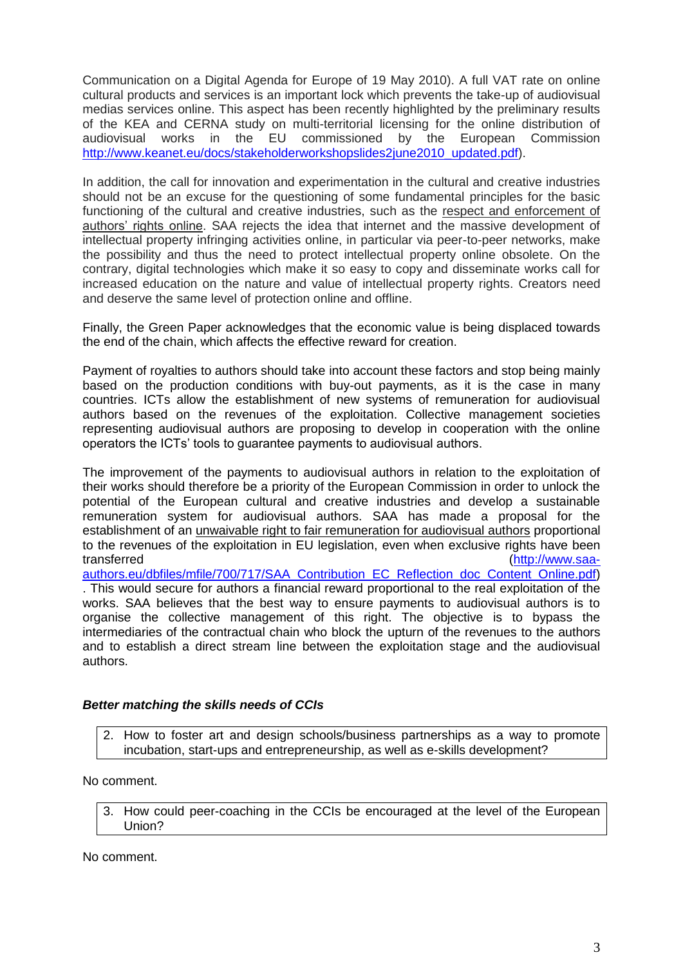Communication on a Digital Agenda for Europe of 19 May 2010). A full VAT rate on online cultural products and services is an important lock which prevents the take-up of audiovisual medias services online. This aspect has been recently highlighted by the preliminary results of the KEA and CERNA study on multi-territorial licensing for the online distribution of audiovisual works in the EU commissioned by the European Commission [http://www.keanet.eu/docs/stakeholderworkshopslides2june2010\\_updated.pdf\)](http://www.keanet.eu/docs/stakeholderworkshopslides2june2010_updated.pdf).

In addition, the call for innovation and experimentation in the cultural and creative industries should not be an excuse for the questioning of some fundamental principles for the basic functioning of the cultural and creative industries, such as the respect and enforcement of authors' rights online. SAA rejects the idea that internet and the massive development of intellectual property infringing activities online, in particular via peer-to-peer networks, make the possibility and thus the need to protect intellectual property online obsolete. On the contrary, digital technologies which make it so easy to copy and disseminate works call for increased education on the nature and value of intellectual property rights. Creators need and deserve the same level of protection online and offline.

Finally, the Green Paper acknowledges that the economic value is being displaced towards the end of the chain, which affects the effective reward for creation.

Payment of royalties to authors should take into account these factors and stop being mainly based on the production conditions with buy-out payments, as it is the case in many countries. ICTs allow the establishment of new systems of remuneration for audiovisual authors based on the revenues of the exploitation. Collective management societies representing audiovisual authors are proposing to develop in cooperation with the online operators the ICTs' tools to guarantee payments to audiovisual authors.

The improvement of the payments to audiovisual authors in relation to the exploitation of their works should therefore be a priority of the European Commission in order to unlock the potential of the European cultural and creative industries and develop a sustainable remuneration system for audiovisual authors. SAA has made a proposal for the establishment of an unwaivable right to fair remuneration for audiovisual authors proportional to the revenues of the exploitation in EU legislation, even when exclusive rights have been transferred [\(http://www.saa](http://www.saa-authors.eu/dbfiles/mfile/700/717/SAA_Contribution_EC_Reflection_doc_Content_Online.pdf)[authors.eu/dbfiles/mfile/700/717/SAA\\_Contribution\\_EC\\_Reflection\\_doc\\_Content\\_Online.pdf\)](http://www.saa-authors.eu/dbfiles/mfile/700/717/SAA_Contribution_EC_Reflection_doc_Content_Online.pdf) . This would secure for authors a financial reward proportional to the real exploitation of the works. SAA believes that the best way to ensure payments to audiovisual authors is to organise the collective management of this right. The objective is to bypass the intermediaries of the contractual chain who block the upturn of the revenues to the authors and to establish a direct stream line between the exploitation stage and the audiovisual authors.

#### *Better matching the skills needs of CCIs*

2. How to foster art and design schools/business partnerships as a way to promote incubation, start-ups and entrepreneurship, as well as e-skills development?

No comment.

3. How could peer-coaching in the CCIs be encouraged at the level of the European Union?

No comment.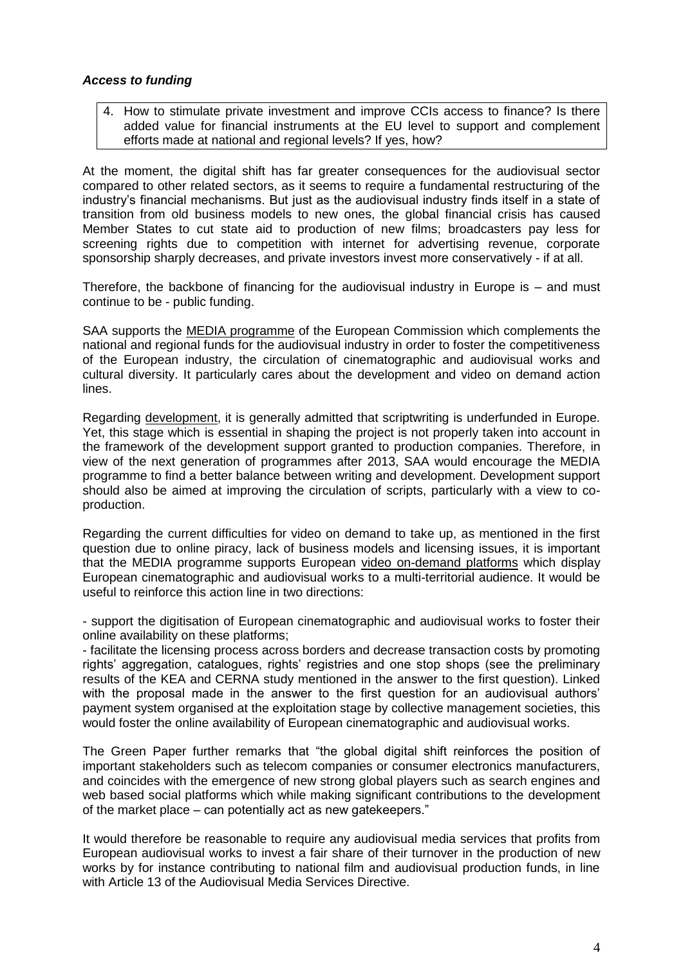#### *Access to funding*

4. How to stimulate private investment and improve CCIs access to finance? Is there added value for financial instruments at the EU level to support and complement efforts made at national and regional levels? If yes, how?

At the moment, the digital shift has far greater consequences for the audiovisual sector compared to other related sectors, as it seems to require a fundamental restructuring of the industry's financial mechanisms. But just as the audiovisual industry finds itself in a state of transition from old business models to new ones, the global financial crisis has caused Member States to cut state aid to production of new films; broadcasters pay less for screening rights due to competition with internet for advertising revenue, corporate sponsorship sharply decreases, and private investors invest more conservatively - if at all.

Therefore, the backbone of financing for the audiovisual industry in Europe is  $-$  and must continue to be - public funding.

SAA supports the MEDIA programme of the European Commission which complements the national and regional funds for the audiovisual industry in order to foster the competitiveness of the European industry, the circulation of cinematographic and audiovisual works and cultural diversity. It particularly cares about the development and video on demand action lines.

Regarding development, it is generally admitted that scriptwriting is underfunded in Europe. Yet, this stage which is essential in shaping the project is not properly taken into account in the framework of the development support granted to production companies. Therefore, in view of the next generation of programmes after 2013, SAA would encourage the MEDIA programme to find a better balance between writing and development. Development support should also be aimed at improving the circulation of scripts, particularly with a view to coproduction.

Regarding the current difficulties for video on demand to take up, as mentioned in the first question due to online piracy, lack of business models and licensing issues, it is important that the MEDIA programme supports European video on-demand platforms which display European cinematographic and audiovisual works to a multi-territorial audience. It would be useful to reinforce this action line in two directions:

- support the digitisation of European cinematographic and audiovisual works to foster their online availability on these platforms;

- facilitate the licensing process across borders and decrease transaction costs by promoting rights' aggregation, catalogues, rights' registries and one stop shops (see the preliminary results of the KEA and CERNA study mentioned in the answer to the first question). Linked with the proposal made in the answer to the first question for an audiovisual authors' payment system organised at the exploitation stage by collective management societies, this would foster the online availability of European cinematographic and audiovisual works.

The Green Paper further remarks that "the global digital shift reinforces the position of important stakeholders such as telecom companies or consumer electronics manufacturers, and coincides with the emergence of new strong global players such as search engines and web based social platforms which while making significant contributions to the development of the market place – can potentially act as new gatekeepers."

It would therefore be reasonable to require any audiovisual media services that profits from European audiovisual works to invest a fair share of their turnover in the production of new works by for instance contributing to national film and audiovisual production funds, in line with Article 13 of the Audiovisual Media Services Directive.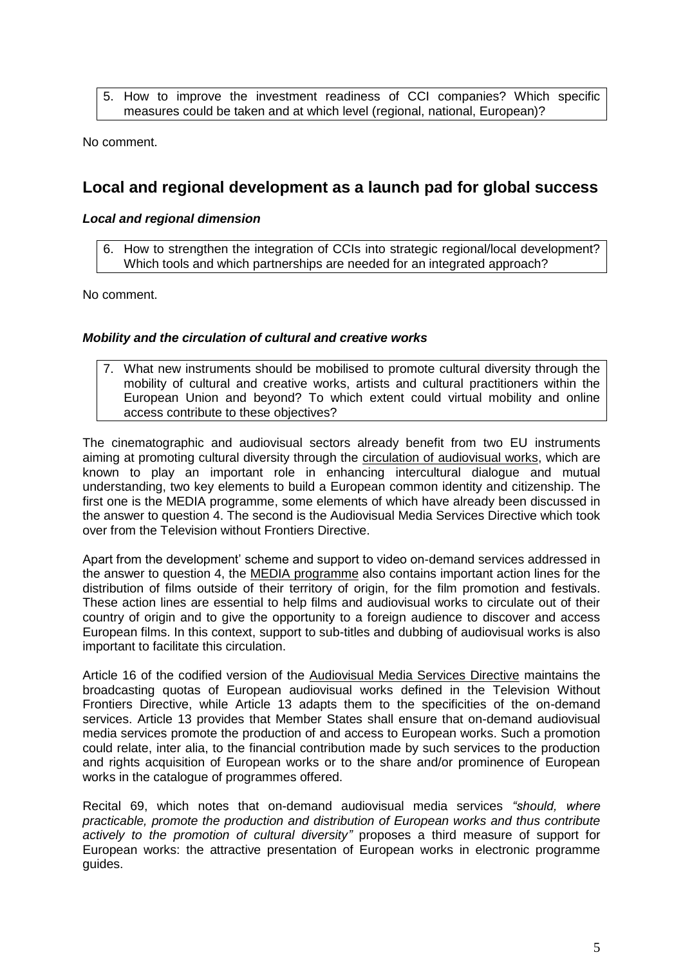5. How to improve the investment readiness of CCI companies? Which specific measures could be taken and at which level (regional, national, European)?

No comment.

### **Local and regional development as a launch pad for global success**

#### *Local and regional dimension*

6. How to strengthen the integration of CCIs into strategic regional/local development? Which tools and which partnerships are needed for an integrated approach?

No comment.

#### *Mobility and the circulation of cultural and creative works*

7. What new instruments should be mobilised to promote cultural diversity through the mobility of cultural and creative works, artists and cultural practitioners within the European Union and beyond? To which extent could virtual mobility and online access contribute to these objectives?

The cinematographic and audiovisual sectors already benefit from two EU instruments aiming at promoting cultural diversity through the circulation of audiovisual works, which are known to play an important role in enhancing intercultural dialogue and mutual understanding, two key elements to build a European common identity and citizenship. The first one is the MEDIA programme, some elements of which have already been discussed in the answer to question 4. The second is the Audiovisual Media Services Directive which took over from the Television without Frontiers Directive.

Apart from the development' scheme and support to video on-demand services addressed in the answer to question 4, the MEDIA programme also contains important action lines for the distribution of films outside of their territory of origin, for the film promotion and festivals. These action lines are essential to help films and audiovisual works to circulate out of their country of origin and to give the opportunity to a foreign audience to discover and access European films. In this context, support to sub-titles and dubbing of audiovisual works is also important to facilitate this circulation.

Article 16 of the codified version of the Audiovisual Media Services Directive maintains the broadcasting quotas of European audiovisual works defined in the Television Without Frontiers Directive, while Article 13 adapts them to the specificities of the on-demand services. Article 13 provides that Member States shall ensure that on-demand audiovisual media services promote the production of and access to European works. Such a promotion could relate, inter alia, to the financial contribution made by such services to the production and rights acquisition of European works or to the share and/or prominence of European works in the catalogue of programmes offered.

Recital 69, which notes that on-demand audiovisual media services *"should, where practicable, promote the production and distribution of European works and thus contribute actively to the promotion of cultural diversity"* proposes a third measure of support for European works: the attractive presentation of European works in electronic programme guides.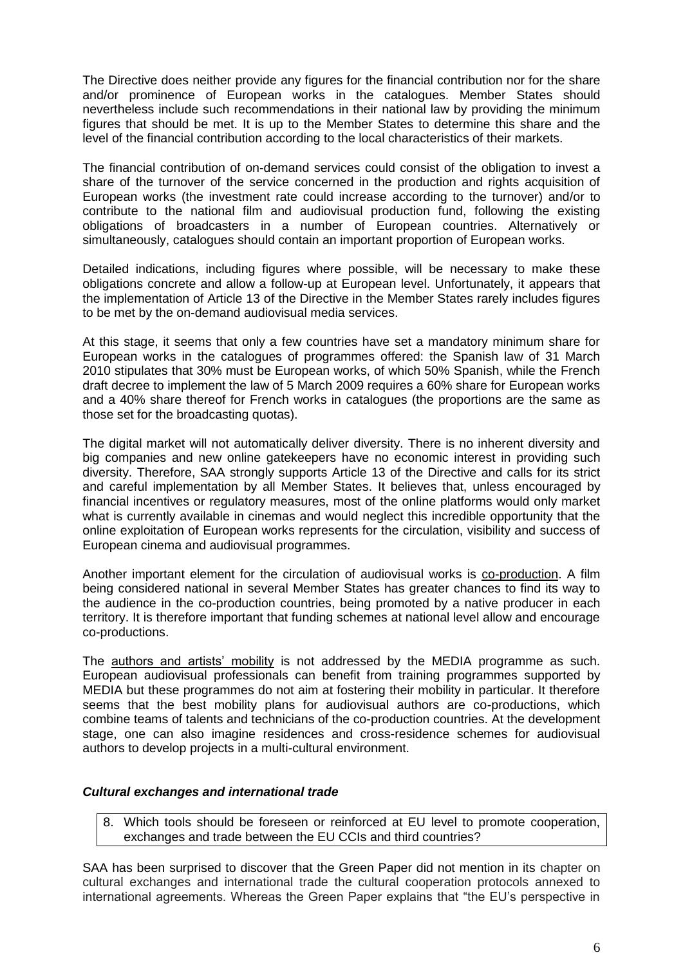The Directive does neither provide any figures for the financial contribution nor for the share and/or prominence of European works in the catalogues. Member States should nevertheless include such recommendations in their national law by providing the minimum figures that should be met. It is up to the Member States to determine this share and the level of the financial contribution according to the local characteristics of their markets.

The financial contribution of on-demand services could consist of the obligation to invest a share of the turnover of the service concerned in the production and rights acquisition of European works (the investment rate could increase according to the turnover) and/or to contribute to the national film and audiovisual production fund, following the existing obligations of broadcasters in a number of European countries. Alternatively or simultaneously, catalogues should contain an important proportion of European works.

Detailed indications, including figures where possible, will be necessary to make these obligations concrete and allow a follow-up at European level. Unfortunately, it appears that the implementation of Article 13 of the Directive in the Member States rarely includes figures to be met by the on-demand audiovisual media services.

At this stage, it seems that only a few countries have set a mandatory minimum share for European works in the catalogues of programmes offered: the Spanish law of 31 March 2010 stipulates that 30% must be European works, of which 50% Spanish, while the French draft decree to implement the law of 5 March 2009 requires a 60% share for European works and a 40% share thereof for French works in catalogues (the proportions are the same as those set for the broadcasting quotas).

The digital market will not automatically deliver diversity. There is no inherent diversity and big companies and new online gatekeepers have no economic interest in providing such diversity. Therefore, SAA strongly supports Article 13 of the Directive and calls for its strict and careful implementation by all Member States. It believes that, unless encouraged by financial incentives or regulatory measures, most of the online platforms would only market what is currently available in cinemas and would neglect this incredible opportunity that the online exploitation of European works represents for the circulation, visibility and success of European cinema and audiovisual programmes.

Another important element for the circulation of audiovisual works is co-production. A film being considered national in several Member States has greater chances to find its way to the audience in the co-production countries, being promoted by a native producer in each territory. It is therefore important that funding schemes at national level allow and encourage co-productions.

The authors and artists' mobility is not addressed by the MEDIA programme as such. European audiovisual professionals can benefit from training programmes supported by MEDIA but these programmes do not aim at fostering their mobility in particular. It therefore seems that the best mobility plans for audiovisual authors are co-productions, which combine teams of talents and technicians of the co-production countries. At the development stage, one can also imagine residences and cross-residence schemes for audiovisual authors to develop projects in a multi-cultural environment.

#### *Cultural exchanges and international trade*

8. Which tools should be foreseen or reinforced at EU level to promote cooperation, exchanges and trade between the EU CCIs and third countries?

SAA has been surprised to discover that the Green Paper did not mention in its chapter on cultural exchanges and international trade the cultural cooperation protocols annexed to international agreements. Whereas the Green Paper explains that "the EU's perspective in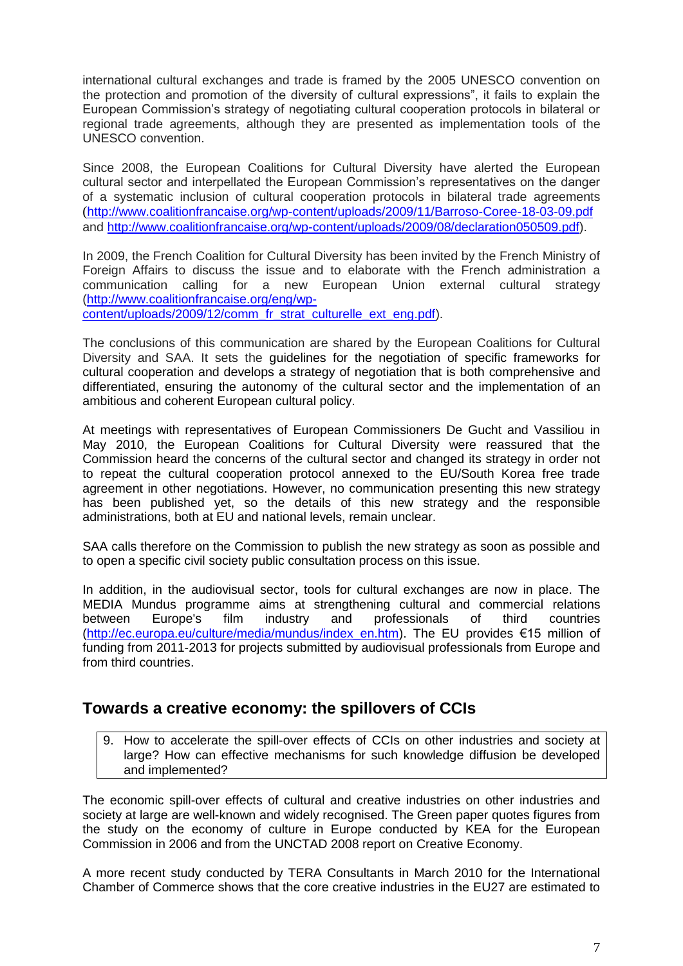international cultural exchanges and trade is framed by the 2005 UNESCO convention on the protection and promotion of the diversity of cultural expressions", it fails to explain the European Commission's strategy of negotiating cultural cooperation protocols in bilateral or regional trade agreements, although they are presented as implementation tools of the UNESCO convention.

Since 2008, the European Coalitions for Cultural Diversity have alerted the European cultural sector and interpellated the European Commission's representatives on the danger of a systematic inclusion of cultural cooperation protocols in bilateral trade agreements (<http://www.coalitionfrancaise.org/wp-content/uploads/2009/11/Barroso-Coree-18-03-09.pdf> and [http://www.coalitionfrancaise.org/wp-content/uploads/2009/08/declaration050509.pdf\)](http://www.coalitionfrancaise.org/wp-content/uploads/2009/08/declaration050509.pdf).

In 2009, the French Coalition for Cultural Diversity has been invited by the French Ministry of Foreign Affairs to discuss the issue and to elaborate with the French administration a communication calling for a new European Union external cultural strategy [\(http://www.coalitionfrancaise.org/eng/wp-](http://www.coalitionfrancaise.org/eng/wp-content/uploads/2009/12/comm_fr_strat_culturelle_ext_eng.pdf)

[content/uploads/2009/12/comm\\_fr\\_strat\\_culturelle\\_ext\\_eng.pdf\)](http://www.coalitionfrancaise.org/eng/wp-content/uploads/2009/12/comm_fr_strat_culturelle_ext_eng.pdf).

The conclusions of this communication are shared by the European Coalitions for Cultural Diversity and SAA. It sets the guidelines for the negotiation of specific frameworks for cultural cooperation and develops a strategy of negotiation that is both comprehensive and differentiated, ensuring the autonomy of the cultural sector and the implementation of an ambitious and coherent European cultural policy.

At meetings with representatives of European Commissioners De Gucht and Vassiliou in May 2010, the European Coalitions for Cultural Diversity were reassured that the Commission heard the concerns of the cultural sector and changed its strategy in order not to repeat the cultural cooperation protocol annexed to the EU/South Korea free trade agreement in other negotiations. However, no communication presenting this new strategy has been published yet, so the details of this new strategy and the responsible administrations, both at EU and national levels, remain unclear.

SAA calls therefore on the Commission to publish the new strategy as soon as possible and to open a specific civil society public consultation process on this issue.

In addition, in the audiovisual sector, tools for cultural exchanges are now in place. The MEDIA Mundus programme aims at strengthening cultural and commercial relations between Europe's film industry and professionals of third countries [\(http://ec.europa.eu/culture/media/mundus/index\\_en.htm\)](http://ec.europa.eu/culture/media/mundus/index_en.htm). The EU provides €15 million of funding from 2011-2013 for projects submitted by audiovisual professionals from Europe and from third countries.

## **Towards a creative economy: the spillovers of CCIs**

9. How to accelerate the spill-over effects of CCIs on other industries and society at large? How can effective mechanisms for such knowledge diffusion be developed and implemented?

The economic spill-over effects of cultural and creative industries on other industries and society at large are well-known and widely recognised. The Green paper quotes figures from the study on the economy of culture in Europe conducted by KEA for the European Commission in 2006 and from the UNCTAD 2008 report on Creative Economy.

A more recent study conducted by TERA Consultants in March 2010 for the International Chamber of Commerce shows that the core creative industries in the EU27 are estimated to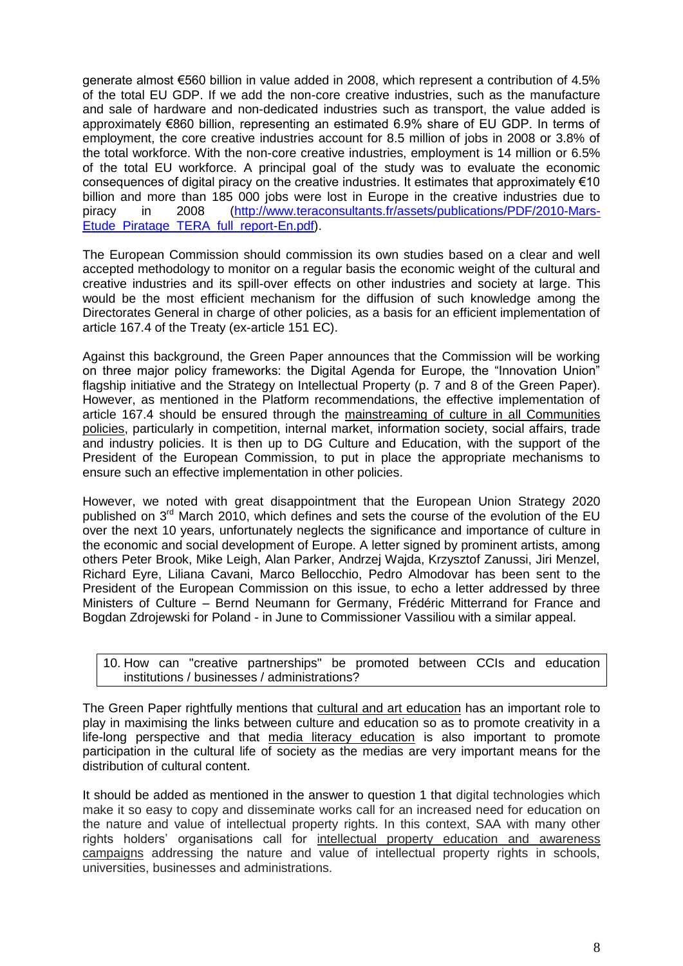generate almost €560 billion in value added in 2008, which represent a contribution of 4.5% of the total EU GDP. If we add the non-core creative industries, such as the manufacture and sale of hardware and non-dedicated industries such as transport, the value added is approximately €860 billion, representing an estimated 6.9% share of EU GDP. In terms of employment, the core creative industries account for 8.5 million of jobs in 2008 or 3.8% of the total workforce. With the non-core creative industries, employment is 14 million or 6.5% of the total EU workforce. A principal goal of the study was to evaluate the economic consequences of digital piracy on the creative industries. It estimates that approximately €10 billion and more than 185 000 jobs were lost in Europe in the creative industries due to piracy in 2008 [\(http://www.teraconsultants.fr/assets/publications/PDF/2010-Mars-](http://www.teraconsultants.fr/assets/publications/PDF/2010-Mars-Etude_Piratage_TERA_full_report-En.pdf)[Etude\\_Piratage\\_TERA\\_full\\_report-En.pdf\)](http://www.teraconsultants.fr/assets/publications/PDF/2010-Mars-Etude_Piratage_TERA_full_report-En.pdf).

The European Commission should commission its own studies based on a clear and well accepted methodology to monitor on a regular basis the economic weight of the cultural and creative industries and its spill-over effects on other industries and society at large. This would be the most efficient mechanism for the diffusion of such knowledge among the Directorates General in charge of other policies, as a basis for an efficient implementation of article 167.4 of the Treaty (ex-article 151 EC).

Against this background, the Green Paper announces that the Commission will be working on three major policy frameworks: the Digital Agenda for Europe, the "Innovation Union" flagship initiative and the Strategy on Intellectual Property (p. 7 and 8 of the Green Paper). However, as mentioned in the Platform recommendations, the effective implementation of article 167.4 should be ensured through the mainstreaming of culture in all Communities policies, particularly in competition, internal market, information society, social affairs, trade and industry policies. It is then up to DG Culture and Education, with the support of the President of the European Commission, to put in place the appropriate mechanisms to ensure such an effective implementation in other policies.

However, we noted with great disappointment that the European Union Strategy 2020 published on  $3<sup>rd</sup>$  March 2010, which defines and sets the course of the evolution of the EU over the next 10 years, unfortunately neglects the significance and importance of culture in the economic and social development of Europe. A letter signed by prominent artists, among others Peter Brook, Mike Leigh, Alan Parker, Andrzej Wajda, Krzysztof Zanussi, Jiri Menzel, Richard Eyre, Liliana Cavani, Marco Bellocchio, Pedro Almodovar has been sent to the President of the European Commission on this issue, to echo a letter addressed by three Ministers of Culture – Bernd Neumann for Germany, Frédéric Mitterrand for France and Bogdan Zdrojewski for Poland - in June to Commissioner Vassiliou with a similar appeal.

|                                              |  |  | 10. How can "creative partnerships" be promoted between CCIs and education |  |  |  |  |  |  |
|----------------------------------------------|--|--|----------------------------------------------------------------------------|--|--|--|--|--|--|
| institutions / businesses / administrations? |  |  |                                                                            |  |  |  |  |  |  |

The Green Paper rightfully mentions that cultural and art education has an important role to play in maximising the links between culture and education so as to promote creativity in a life-long perspective and that media literacy education is also important to promote participation in the cultural life of society as the medias are very important means for the distribution of cultural content.

It should be added as mentioned in the answer to question 1 that digital technologies which make it so easy to copy and disseminate works call for an increased need for education on the nature and value of intellectual property rights. In this context, SAA with many other rights holders' organisations call for intellectual property education and awareness campaigns addressing the nature and value of intellectual property rights in schools, universities, businesses and administrations.